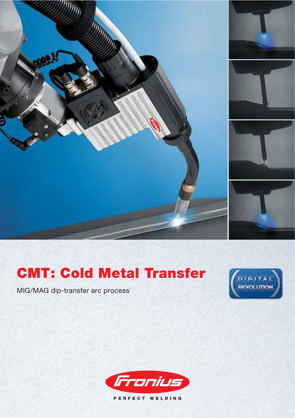

# **CMT: Cold Metal Transfer**

MIG/MAG dip-transfer arc process





PERFECT WELDING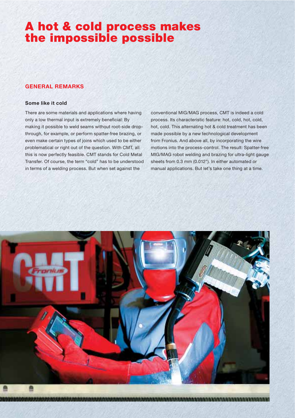# **A hot & cold process makes the impossible possible**

# **GENERAL REMARKS**

#### **Some like it cold**

There are some materials and applications where having only a low thermal input is extremely beneficial: By making it possible to weld seams without root-side dropthrough, for example, or perform spatter-free brazing, or even make certain types of joins which used to be either problematical or right out of the question. With CMT, all this is now perfectly feasible. CMT stands for Cold Metal Transfer. Of course, the term "cold" has to be understood in terms of a welding process. But when set against the

conventional MIG/MAG process, CMT is indeed a cold process. Its characteristic feature: hot, cold, hot, cold, hot, cold. This alternating hot & cold treatment has been made possible by a new technological development from Fronius. And above all, by incorporating the wire motions into the process-control. The result: Spatter-free MIG/MAG robot welding and brazing for ultra-light gauge sheets from 0.3 mm (0.012"). In either automated or manual applications. But let's take one thing at a time.

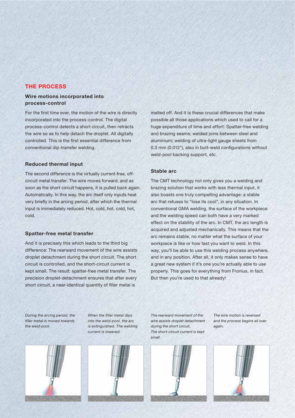# **THE PROCESS**

### **Wire motions incorporated into process-control**

For the first time ever, the motion of the wire is directly incorporated into the process-control. The digital process-control detects a short circuit, then retracts the wire so as to help detach the droplet. All digitally controlled. This is the first essential difference from conventional dip-transfer welding.

#### **Reduced thermal input**

The second difference is the virtually current-free, offcircuit metal transfer. The wire moves forward, and as soon as the short circuit happens, it is pulled back again. Automatically. In this way, the arc itself only inputs heat very briefly in the arcing period, after which the thermal input is immediately reduced. Hot, cold, hot, cold, hot, cold.

#### **Spatter-free metal transfer**

And it is precisely this which leads to the third big difference: The rearward movement of the wire assists droplet detachment during the short circuit. The short circuit is controlled, and the short-circuit current is kept small. The result: spatter-free metal transfer. The precision droplet-detachment ensures that after every short circuit, a near-identical quantity of filler metal is

melted off. And it is these crucial differences that make possible all those applications which used to call for a huge expenditure of time and effort: Spatter-free welding and brazing seams; welded joins between steel and aluminium; welding of ultra-light gauge sheets from 0.3 mm (0.012"), also in butt-weld configurations without weld-pool backing support, etc.

#### **Stable arc**

The CMT technology not only gives you a welding and brazing solution that works with less thermal input, it also boasts one truly compelling advantage: a stable arc that refuses to "lose its cool", in any situation. In conventional GMA welding, the surface of the workpiece and the welding speed can both have a very marked effect on the stability of the arc. In CMT, the arc length is acquired and adjusted mechanically. This means that the arc remains stable, no matter what the surface of your workpiece is like or how fast you want to weld. In this way, you'll be able to use this welding process anywhere, and in any position. After all, it only makes sense to have a great new system if it's one you're actually able to use properly. This goes for everything from Fronius, in fact. But then you're used to that already!

During the arcing period, the filler metal is moved towards the weld-pool.

When the filler metal dips into the weld-pool, the arc is extinguished. The welding current is lowered.





The rearward movement of the wire assists droplet detachment during the short circuit. The short-circuit current is kept small.

The wire motion is reversed and the process begins all over again.

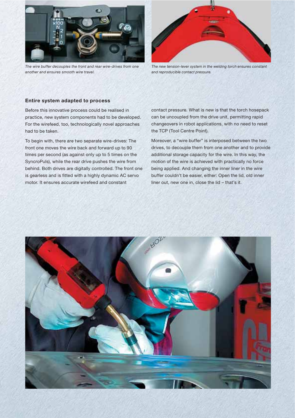

The wire buffer decouples the front and rear wire-drives from one another and ensures smooth wire travel.



The new tension-lever system in the welding torch ensures constant and reproducible contact pressure.

#### **Entire system adapted to process**

Before this innovative process could be realised in practice, new system components had to be developed. For the wirefeed, too, technologically novel approaches had to be taken.

To begin with, there are two separate wire-drives: The front one moves the wire back and forward up to 90 times per second (as against only up to 5 times on the SyncroPuls), while the rear drive pushes the wire from behind. Both drives are digitally controlled. The front one is gearless and is fitted with a highly dynamic AC servo motor. It ensures accurate wirefeed and constant

contact pressure. What is new is that the torch hosepack can be uncoupled from the drive unit, permitting rapid changeovers in robot applications, with no need to reset the TCP (Tool Centre Point).

Moreover, a "wire buffer" is interposed between the two drives, to decouple them from one another and to provide additional storage capacity for the wire. In this way, the motion of the wire is achieved with practically no force being applied. And changing the inner liner in the wire buffer couldn't be easier, either: Open the lid, old inner liner out, new one in, close the lid – that's it.

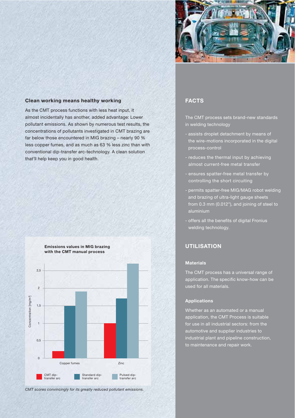

# **Clean working means healthy working**

As the CMT process functions with less heat input, it almost incidentally has another, added advantage: Lower pollutant emissions. As shown by numerous test results, the concentrations of pollutants investigated in CMT brazing are far below those encountered in MIG brazing – nearly 90 % less copper fumes, and as much as 63 % less zinc than with conventional dip-transfer arc-technology. A clean solution that'll help keep you in good health.

#### **Emissions values in MIG brazing with the CMT manual process**



# **FACTS**

The CMT process sets brand-new standards in welding technology

- assists droplet detachment by means of the wire-motions incorporated in the digital process-control
- reduces the thermal input by achieving almost current-free metal transfer
- ensures spatter-free metal transfer by controlling the short circuiting
- permits spatter-free MIG/MAG robot welding and brazing of ultra-light gauge sheets from 0.3 mm (0.012"), and joining of steel to aluminium
- offers all the benefits of digital Fronius welding technology.

# **UTILISATION**

#### **Materials**

The CMT process has a universal range of application. The specific know-how can be used for all materials.

#### **Applications**

Whether as an automated or a manual application, the CMT Process is suitable for use in all industrial sectors: from the automotive and supplier industries to industrial plant and pipeline construction, to maintenance and repair work.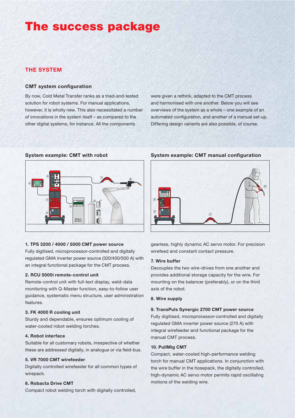# **The success package**

# **THE SYSTEM**

#### **CMT system configuration**

By now, Cold Metal Transfer ranks as a tried-and-tested solution for robot systems. For manual applications, however, it is wholly new. This also necessitated a number of innovations in the system itself – as compared to the other digital systems, for instance. All the components

were given a rethink, adapted to the CMT process and harmonised with one another. Below you will see overviews of the system as a whole – one example of an automated configuration, and another of a manual set-up. Differing design variants are also possible, of course.



#### **1. TPS 3200 / 4000 / 5000 CMT power source**

Fully digitised, microprocessor-controlled and digitally regulated GMA inverter power source (320/400/500 A) with an integral functional package for the CMT process.

#### **2. RCU 5000i remote-control unit**

Remote-control unit with full-text display, weld-data monitoring with Q-Master function, easy-to-follow user guidance, systematic menu structure, user administration features.

#### **3. FK 4000 R cooling unit**

Sturdy and dependable, ensures optimum cooling of water-cooled robot welding torches.

#### **4. Robot interface**

Suitable for all customary robots, irrespective of whether these are addressed digitally, in analogue or via field-bus.

#### **5. VR 7000 CMT wirefeeder**

Digitally controlled wirefeeder for all common types of wirepack.

#### **6. Robacta Drive CMT**

Compact robot welding torch with digitally controlled,

# **System example: CMT with robot System example: CMT manual configuration**



gearless, highly dynamic AC servo motor. For precision wirefeed and constant contact pressure.

#### **7. Wire buffer**

Decouples the two wire-drives from one another and provides additional storage capacity for the wire. For mounting on the balancer (preferably), or on the third axis of the robot.

### **8. Wire supply**

#### **9. TransPuls Synergic 2700 CMT power source**

Fully digitised, microprocessor-controlled and digitally regulated GMA inverter power source (270 A) with integral wirefeeder and functional package for the manual CMT process.

#### **10. PullMig CMT**

Compact, water-cooled high-performance welding torch for manual CMT applications. In conjunction with the wire buffer in the hosepack, the digitally controlled, high-dynamic AC servo motor permits rapid oscillating motions of the welding wire.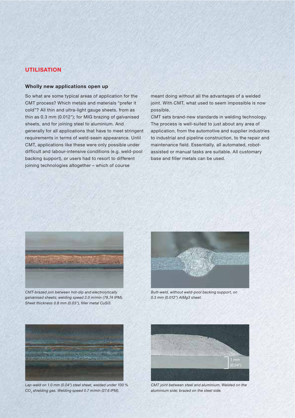# **UTILISATION**

#### **Wholly new applications open up**

So what are some typical areas of application for the CMT process? Which metals and materials "prefer it cold"? All thin and ultra-light gauge sheets, from as thin as 0.3 mm (0.012"); for MIG brazing of galvanised sheets, and for joining steel to aluminium. And generally for all applications that have to meet stringent requirements in terms of weld-seam appearance. Until CMT, applications like these were only possible under difficult and labour-intensive conditions (e.g. weld-pool backing support), or users had to resort to different joining technologies altogether – which of course

meant doing without all the advantages of a welded joint. With CMT, what used to seem impossible is now possible.

CMT sets brand-new standards in welding technology. The process is well-suited to just about any area of application, from the automotive and supplier industries to industrial and pipeline construction, to the repair and maintenance field. Essentially, all automated, robotassisted or manual tasks are suitable. All customary base and filler metals can be used.



CMT-brazed join between hot-dip and electrolytically galvanised sheets; welding speed 2.0 m/min (78.74 IPM). Sheet thickness 0.8 mm (0.03"), filler metal CuSi3.



Butt-weld, without weld-pool backing support, on 0.3 mm (0.012") AlMg3 sheet.



Lap-weld on 1.0 mm (0.04") steel sheet, welded under 100 %  $\mathrm{CO}_2^{}$  shielding gas. Welding speed 0.7 m/min (27.6 IPM).



CMT joint between steel and aluminium. Welded on the aluminium side; brazed on the steel side.